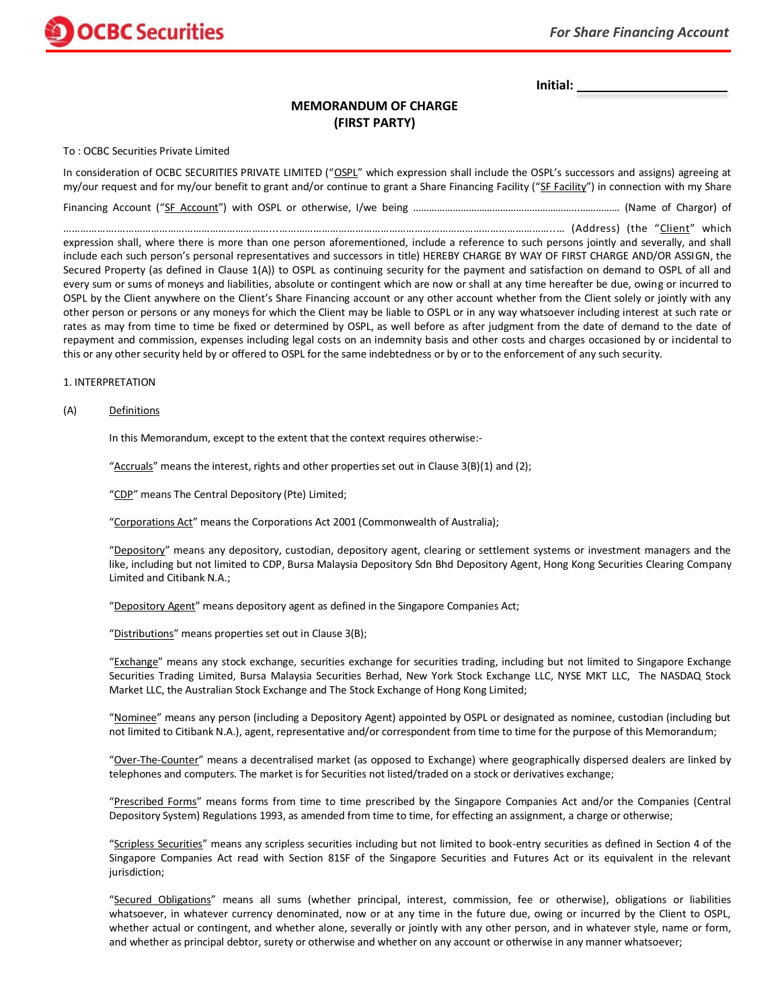# **MEMORANDUM OF CHARGE (FIRST PARTY)**

To : OCBC Securities Private Limited

**OCBC** Securities

In consideration of OCBC SECURITIES PRIVATE LIMITED ("OSPL" which expression shall include the OSPL's successors and assigns) agreeing at my/our request and for my/our benefit to grant and/or continue to grant a Share Financing Facility ("SF Facility") in connection with my Share

Financing Account ("SF Account") with OSPL or otherwise, I/we being ……………………………………………………...…………… (Name of Chargor) of

……………….………………………………………………...……………………………………………………………………………………..… (Address) (the "Client" which expression shall, where there is more than one person aforementioned, include a reference to such persons jointly and severally, and shall include each such person's personal representatives and successors in title) HEREBY CHARGE BY WAY OF FIRST CHARGE AND/OR ASSIGN, the Secured Property (as defined in Clause 1(A)) to OSPL as continuing security for the payment and satisfaction on demand to OSPL of all and every sum or sums of moneys and liabilities, absolute or contingent which are now or shall at any time hereafter be due, owing or incurred to OSPL by the Client anywhere on the Client's Share Financing account or any other account whether from the Client solely or jointly with any other person or persons or any moneys for which the Client may be liable to OSPL or in any way whatsoever including interest at such rate or rates as may from time to time be fixed or determined by OSPL, as well before as after judgment from the date of demand to the date of repayment and commission, expenses including legal costs on an indemnity basis and other costs and charges occasioned by or incidental to this or any other security held by or offered to OSPL for the same indebtedness or by or to the enforcement of any such security.

## 1. INTERPRETATION

## (A) Definitions

In this Memorandum, except to the extent that the context requires otherwise:-

"Accruals" means the interest, rights and other properties set out in Clause  $3(B)(1)$  and (2);

"CDP" means The Central Depository (Pte) Limited;

"Corporations Act" means the Corporations Act 2001 (Commonwealth of Australia);

"Depository" means any depository, custodian, depository agent, clearing or settlement systems or investment managers and the like, including but not limited to CDP, Bursa Malaysia Depository Sdn Bhd Depository Agent, Hong Kong Securities Clearing Company Limited and Citibank N.A.;

"Depository Agent" means depository agent as defined in the Singapore Companies Act;

"Distributions" means properties set out in Clause 3(B);

"Exchange" means any stock exchange, securities exchange for securities trading, including but not limited to Singapore Exchange Securities Trading Limited, Bursa Malaysia Securities Berhad, New York Stock Exchange LLC, NYSE MKT LLC, The NASDAQ Stock Market LLC, the Australian Stock Exchange and The Stock Exchange of Hong Kong Limited;

"Nominee" means any person (including a Depository Agent) appointed by OSPL or designated as nominee, custodian (including but not limited to Citibank N.A.), agent, representative and/or correspondent from time to time for the purpose of this Memorandum;

"Over-The-Counter" means a decentralised market (as opposed to Exchange) where geographically dispersed dealers are linked by telephones and computers. The market is for Securities not listed/traded on a stock or derivatives exchange;

"Prescribed Forms" means forms from time to time prescribed by the Singapore Companies Act and/or the Companies (Central Depository System) Regulations 1993, as amended from time to time, for effecting an assignment, a charge or otherwise;

"Scripless Securities" means any scripless securities including but not limited to book-entry securities as defined in Section 4 of the Singapore Companies Act read with Section 81SF of the Singapore Securities and Futures Act or its equivalent in the relevant jurisdiction;

"Secured Obligations" means all sums (whether principal, interest, commission, fee or otherwise), obligations or liabilities whatsoever, in whatever currency denominated, now or at any time in the future due, owing or incurred by the Client to OSPL, whether actual or contingent, and whether alone, severally or jointly with any other person, and in whatever style, name or form, and whether as principal debtor, surety or otherwise and whether on any account or otherwise in any manner whatsoever;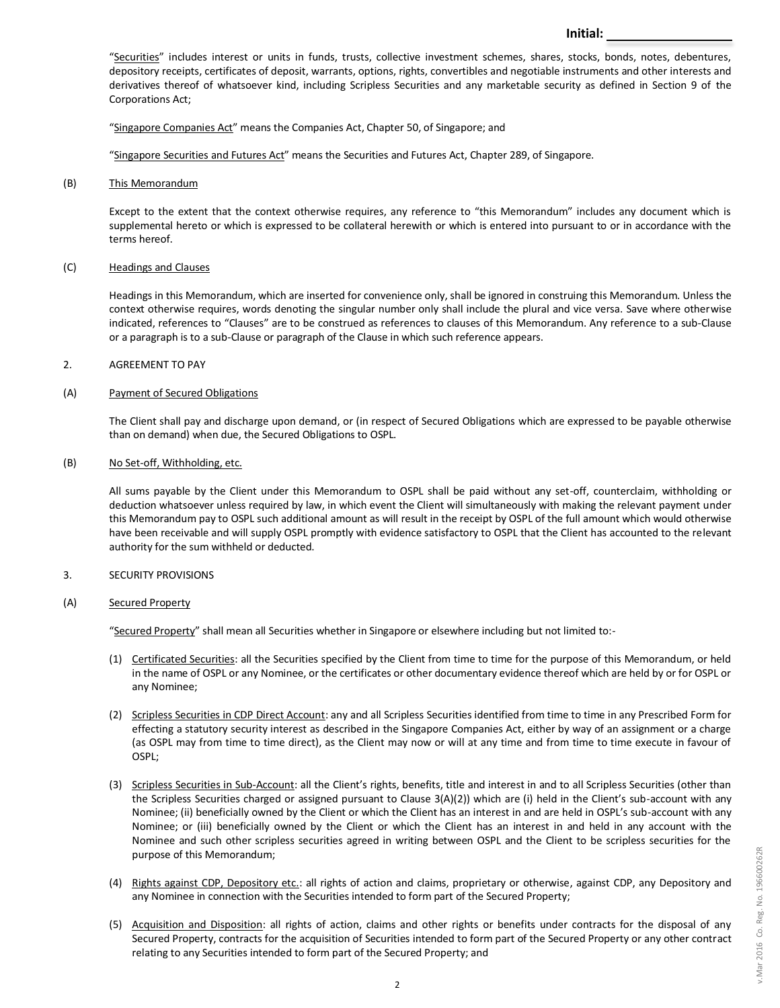"Securities" includes interest or units in funds, trusts, collective investment schemes, shares, stocks, bonds, notes, debentures, depository receipts, certificates of deposit, warrants, options, rights, convertibles and negotiable instruments and other interests and derivatives thereof of whatsoever kind, including Scripless Securities and any marketable security as defined in Section 9 of the Corporations Act;

"Singapore Companies Act" means the Companies Act, Chapter 50, of Singapore; and

"Singapore Securities and Futures Act" means the Securities and Futures Act, Chapter 289, of Singapore.

(B) This Memorandum

Except to the extent that the context otherwise requires, any reference to "this Memorandum" includes any document which is supplemental hereto or which is expressed to be collateral herewith or which is entered into pursuant to or in accordance with the terms hereof.

### (C) Headings and Clauses

Headings in this Memorandum, which are inserted for convenience only, shall be ignored in construing this Memorandum. Unless the context otherwise requires, words denoting the singular number only shall include the plural and vice versa. Save where otherwise indicated, references to "Clauses" are to be construed as references to clauses of this Memorandum. Any reference to a sub-Clause or a paragraph is to a sub-Clause or paragraph of the Clause in which such reference appears.

### 2. AGREEMENT TO PAY

### (A) Payment of Secured Obligations

The Client shall pay and discharge upon demand, or (in respect of Secured Obligations which are expressed to be payable otherwise than on demand) when due, the Secured Obligations to OSPL.

### (B) No Set-off, Withholding, etc.

All sums payable by the Client under this Memorandum to OSPL shall be paid without any set-off, counterclaim, withholding or deduction whatsoever unless required by law, in which event the Client will simultaneously with making the relevant payment under this Memorandum pay to OSPL such additional amount as will result in the receipt by OSPL of the full amount which would otherwise have been receivable and will supply OSPL promptly with evidence satisfactory to OSPL that the Client has accounted to the relevant authority for the sum withheld or deducted.

## 3. SECURITY PROVISIONS

### (A) Secured Property

"Secured Property" shall mean all Securities whether in Singapore or elsewhere including but not limited to:-

- (1) Certificated Securities: all the Securities specified by the Client from time to time for the purpose of this Memorandum, or held in the name of OSPL or any Nominee, or the certificates or other documentary evidence thereof which are held by or for OSPL or any Nominee;
- (2) Scripless Securities in CDP Direct Account: any and all Scripless Securities identified from time to time in any Prescribed Form for effecting a statutory security interest as described in the Singapore Companies Act, either by way of an assignment or a charge (as OSPL may from time to time direct), as the Client may now or will at any time and from time to time execute in favour of OSPL;
- (3) Scripless Securities in Sub-Account: all the Client's rights, benefits, title and interest in and to all Scripless Securities (other than the Scripless Securities charged or assigned pursuant to Clause 3(A)(2)) which are (i) held in the Client's sub-account with any Nominee; (ii) beneficially owned by the Client or which the Client has an interest in and are held in OSPL's sub-account with any Nominee; or (iii) beneficially owned by the Client or which the Client has an interest in and held in any account with the Nominee and such other scripless securities agreed in writing between OSPL and the Client to be scripless securities for the purpose of this Memorandum;
- (4) Rights against CDP, Depository etc.: all rights of action and claims, proprietary or otherwise, against CDP, any Depository and any Nominee in connection with the Securities intended to form part of the Secured Property;
- (5) Acquisition and Disposition: all rights of action, claims and other rights or benefits under contracts for the disposal of any Secured Property, contracts for the acquisition of Securities intended to form part of the Secured Property or any other contract relating to any Securities intended to form part of the Secured Property; and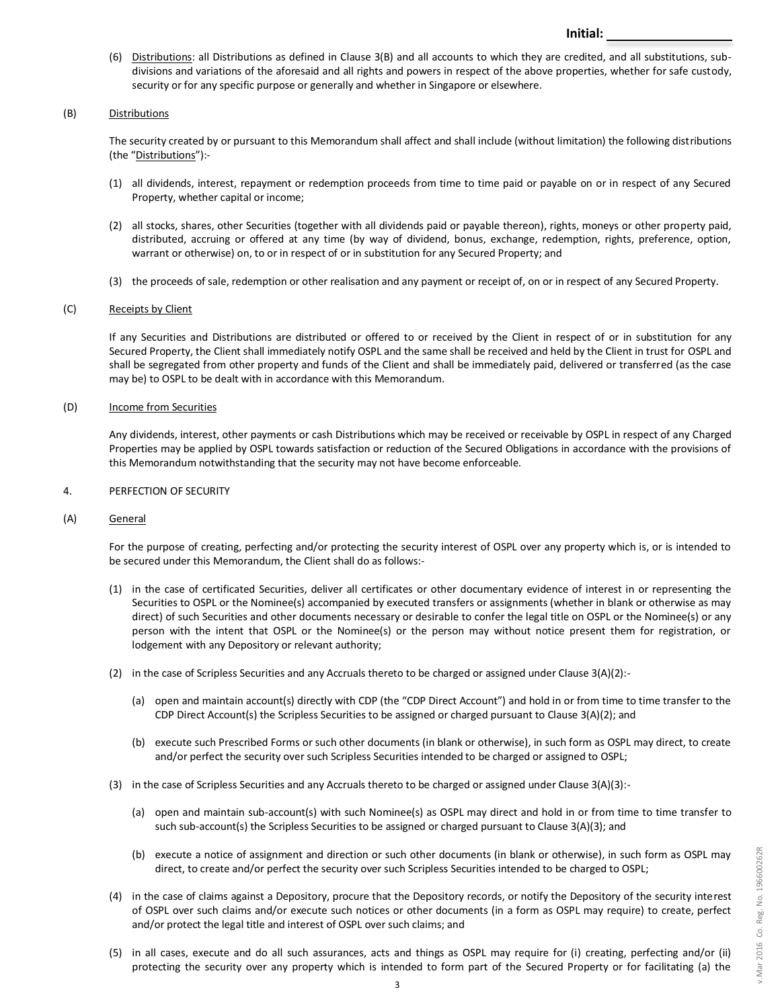(6) Distributions: all Distributions as defined in Clause 3(B) and all accounts to which they are credited, and all substitutions, subdivisions and variations of the aforesaid and all rights and powers in respect of the above properties, whether for safe custody, security or for any specific purpose or generally and whether in Singapore or elsewhere.

## (B) Distributions

The security created by or pursuant to this Memorandum shall affect and shall include (without limitation) the following distributions (the "Distributions"):-

- (1) all dividends, interest, repayment or redemption proceeds from time to time paid or payable on or in respect of any Secured Property, whether capital or income;
- (2) all stocks, shares, other Securities (together with all dividends paid or payable thereon), rights, moneys or other property paid, distributed, accruing or offered at any time (by way of dividend, bonus, exchange, redemption, rights, preference, option, warrant or otherwise) on, to or in respect of or in substitution for any Secured Property; and
- (3) the proceeds of sale, redemption or other realisation and any payment or receipt of, on or in respect of any Secured Property.

## (C) Receipts by Client

If any Securities and Distributions are distributed or offered to or received by the Client in respect of or in substitution for any Secured Property, the Client shall immediately notify OSPL and the same shall be received and held by the Client in trust for OSPL and shall be segregated from other property and funds of the Client and shall be immediately paid, delivered or transferred (as the case may be) to OSPL to be dealt with in accordance with this Memorandum.

## (D) Income from Securities

Any dividends, interest, other payments or cash Distributions which may be received or receivable by OSPL in respect of any Charged Properties may be applied by OSPL towards satisfaction or reduction of the Secured Obligations in accordance with the provisions of this Memorandum notwithstanding that the security may not have become enforceable.

## 4. PERFECTION OF SECURITY

## (A) General

For the purpose of creating, perfecting and/or protecting the security interest of OSPL over any property which is, or is intended to be secured under this Memorandum, the Client shall do as follows:-

- (1) in the case of certificated Securities, deliver all certificates or other documentary evidence of interest in or representing the Securities to OSPL or the Nominee(s) accompanied by executed transfers or assignments (whether in blank or otherwise as may direct) of such Securities and other documents necessary or desirable to confer the legal title on OSPL or the Nominee(s) or any person with the intent that OSPL or the Nominee(s) or the person may without notice present them for registration, or lodgement with any Depository or relevant authority;
- (2) in the case of Scripless Securities and any Accruals thereto to be charged or assigned under Clause 3(A)(2):-
	- (a) open and maintain account(s) directly with CDP (the "CDP Direct Account") and hold in or from time to time transfer to the CDP Direct Account(s) the Scripless Securities to be assigned or charged pursuant to Clause 3(A)(2); and
	- (b) execute such Prescribed Forms or such other documents (in blank or otherwise), in such form as OSPL may direct, to create and/or perfect the security over such Scripless Securities intended to be charged or assigned to OSPL;
- (3) in the case of Scripless Securities and any Accruals thereto to be charged or assigned under Clause 3(A)(3):-
	- (a) open and maintain sub-account(s) with such Nominee(s) as OSPL may direct and hold in or from time to time transfer to such sub-account(s) the Scripless Securities to be assigned or charged pursuant to Clause 3(A)(3); and
	- (b) execute a notice of assignment and direction or such other documents (in blank or otherwise), in such form as OSPL may direct, to create and/or perfect the security over such Scripless Securities intended to be charged to OSPL;
- (4) in the case of claims against a Depository, procure that the Depository records, or notify the Depository of the security interest of OSPL over such claims and/or execute such notices or other documents (in a form as OSPL may require) to create, perfect and/or protect the legal title and interest of OSPL over such claims; and
- (5) in all cases, execute and do all such assurances, acts and things as OSPL may require for (i) creating, perfecting and/or (ii) protecting the security over any property which is intended to form part of the Secured Property or for facilitating (a) the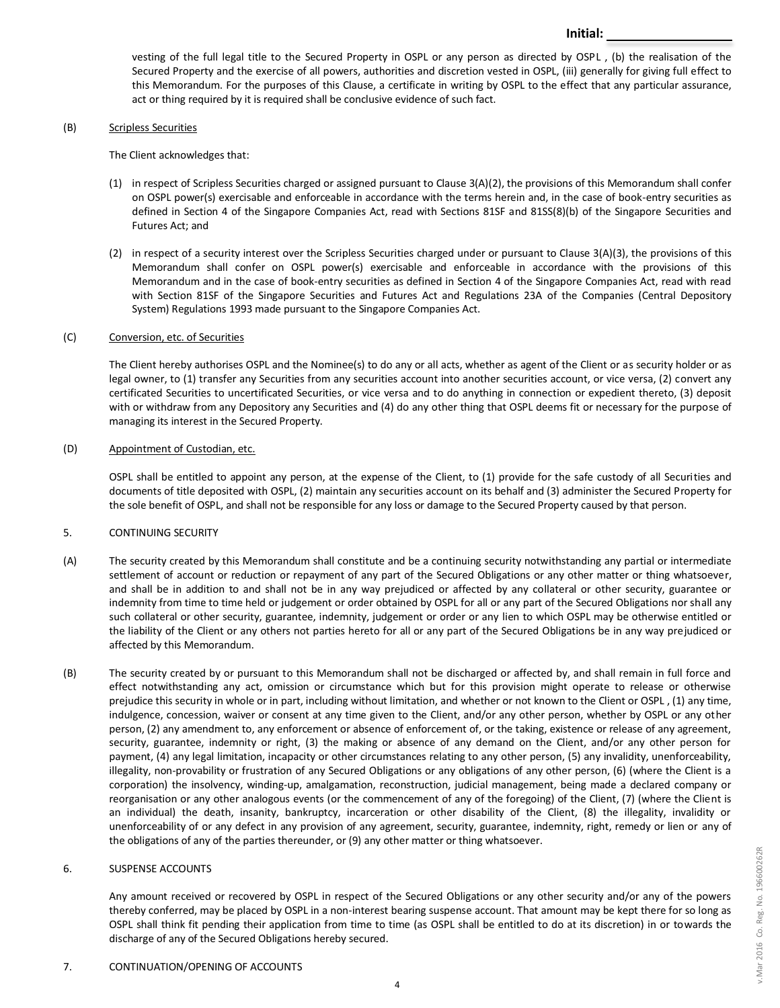vesting of the full legal title to the Secured Property in OSPL or any person as directed by OSPL , (b) the realisation of the Secured Property and the exercise of all powers, authorities and discretion vested in OSPL, (iii) generally for giving full effect to this Memorandum. For the purposes of this Clause, a certificate in writing by OSPL to the effect that any particular assurance, act or thing required by it is required shall be conclusive evidence of such fact.

**Initial:**

### (B) Scripless Securities

The Client acknowledges that:

- (1) in respect of Scripless Securities charged or assigned pursuant to Clause 3(A)(2), the provisions of this Memorandum shall confer on OSPL power(s) exercisable and enforceable in accordance with the terms herein and, in the case of book-entry securities as defined in Section 4 of the Singapore Companies Act, read with Sections 81SF and 81SS(8)(b) of the Singapore Securities and Futures Act; and
- (2) in respect of a security interest over the Scripless Securities charged under or pursuant to Clause 3(A)(3), the provisions of this Memorandum shall confer on OSPL power(s) exercisable and enforceable in accordance with the provisions of this Memorandum and in the case of book-entry securities as defined in Section 4 of the Singapore Companies Act, read with read with Section 81SF of the Singapore Securities and Futures Act and Regulations 23A of the Companies (Central Depository System) Regulations 1993 made pursuant to the Singapore Companies Act.

### (C) Conversion, etc. of Securities

The Client hereby authorises OSPL and the Nominee(s) to do any or all acts, whether as agent of the Client or as security holder or as legal owner, to (1) transfer any Securities from any securities account into another securities account, or vice versa, (2) convert any certificated Securities to uncertificated Securities, or vice versa and to do anything in connection or expedient thereto, (3) deposit with or withdraw from any Depository any Securities and (4) do any other thing that OSPL deems fit or necessary for the purpose of managing its interest in the Secured Property.

## (D) Appointment of Custodian, etc.

OSPL shall be entitled to appoint any person, at the expense of the Client, to (1) provide for the safe custody of all Securities and documents of title deposited with OSPL, (2) maintain any securities account on its behalf and (3) administer the Secured Property for the sole benefit of OSPL, and shall not be responsible for any loss or damage to the Secured Property caused by that person.

## 5. CONTINUING SECURITY

- (A) The security created by this Memorandum shall constitute and be a continuing security notwithstanding any partial or intermediate settlement of account or reduction or repayment of any part of the Secured Obligations or any other matter or thing whatsoever, and shall be in addition to and shall not be in any way prejudiced or affected by any collateral or other security, guarantee or indemnity from time to time held or judgement or order obtained by OSPL for all or any part of the Secured Obligations nor shall any such collateral or other security, guarantee, indemnity, judgement or order or any lien to which OSPL may be otherwise entitled or the liability of the Client or any others not parties hereto for all or any part of the Secured Obligations be in any way prejudiced or affected by this Memorandum.
- (B) The security created by or pursuant to this Memorandum shall not be discharged or affected by, and shall remain in full force and effect notwithstanding any act, omission or circumstance which but for this provision might operate to release or otherwise prejudice this security in whole or in part, including without limitation, and whether or not known to the Client or OSPL , (1) any time, indulgence, concession, waiver or consent at any time given to the Client, and/or any other person, whether by OSPL or any other person, (2) any amendment to, any enforcement or absence of enforcement of, or the taking, existence or release of any agreement, security, guarantee, indemnity or right, (3) the making or absence of any demand on the Client, and/or any other person for payment, (4) any legal limitation, incapacity or other circumstances relating to any other person, (5) any invalidity, unenforceability, illegality, non-provability or frustration of any Secured Obligations or any obligations of any other person, (6) (where the Client is a corporation) the insolvency, winding-up, amalgamation, reconstruction, judicial management, being made a declared company or reorganisation or any other analogous events (or the commencement of any of the foregoing) of the Client, (7) (where the Client is an individual) the death, insanity, bankruptcy, incarceration or other disability of the Client, (8) the illegality, invalidity or unenforceability of or any defect in any provision of any agreement, security, guarantee, indemnity, right, remedy or lien or any of the obligations of any of the parties thereunder, or (9) any other matter or thing whatsoever.

## 6. SUSPENSE ACCOUNTS

Any amount received or recovered by OSPL in respect of the Secured Obligations or any other security and/or any of the powers thereby conferred, may be placed by OSPL in a non-interest bearing suspense account. That amount may be kept there for so long as OSPL shall think fit pending their application from time to time (as OSPL shall be entitled to do at its discretion) in or towards the discharge of any of the Secured Obligations hereby secured.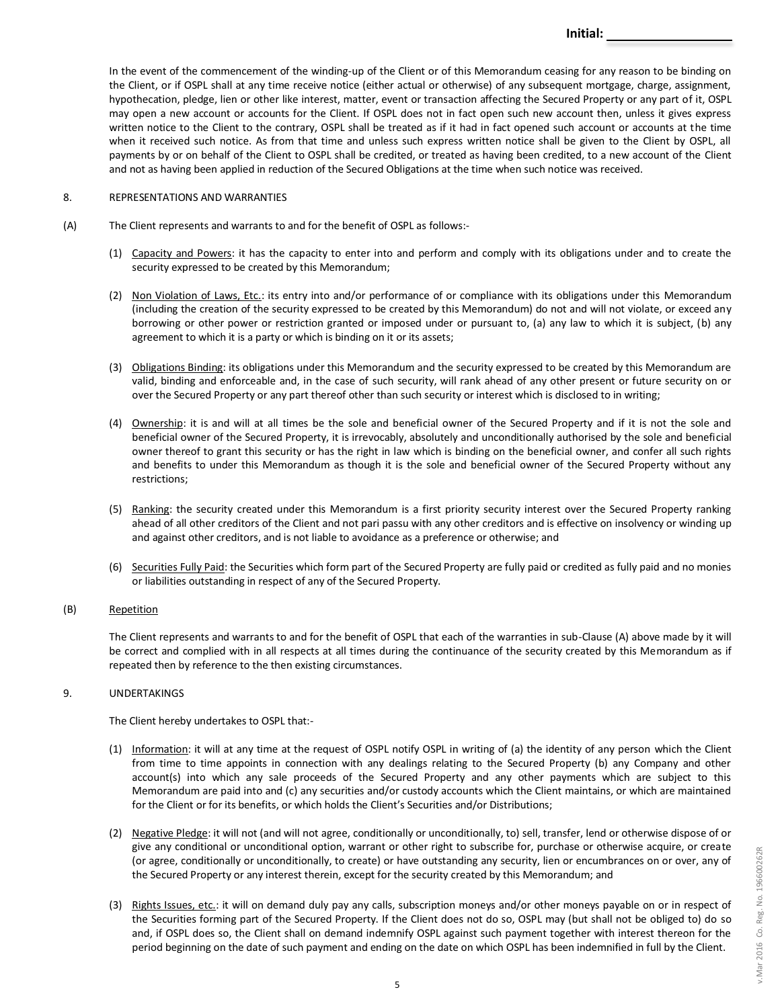In the event of the commencement of the winding-up of the Client or of this Memorandum ceasing for any reason to be binding on the Client, or if OSPL shall at any time receive notice (either actual or otherwise) of any subsequent mortgage, charge, assignment, hypothecation, pledge, lien or other like interest, matter, event or transaction affecting the Secured Property or any part of it, OSPL may open a new account or accounts for the Client. If OSPL does not in fact open such new account then, unless it gives express written notice to the Client to the contrary, OSPL shall be treated as if it had in fact opened such account or accounts at the time when it received such notice. As from that time and unless such express written notice shall be given to the Client by OSPL, all payments by or on behalf of the Client to OSPL shall be credited, or treated as having been credited, to a new account of the Client and not as having been applied in reduction of the Secured Obligations at the time when such notice was received.

## 8. REPRESENTATIONS AND WARRANTIES

- (A) The Client represents and warrants to and for the benefit of OSPL as follows:-
	- (1) Capacity and Powers: it has the capacity to enter into and perform and comply with its obligations under and to create the security expressed to be created by this Memorandum;
	- (2) Non Violation of Laws, Etc.: its entry into and/or performance of or compliance with its obligations under this Memorandum (including the creation of the security expressed to be created by this Memorandum) do not and will not violate, or exceed any borrowing or other power or restriction granted or imposed under or pursuant to, (a) any law to which it is subject, (b) any agreement to which it is a party or which is binding on it or its assets;
	- (3) Obligations Binding: its obligations under this Memorandum and the security expressed to be created by this Memorandum are valid, binding and enforceable and, in the case of such security, will rank ahead of any other present or future security on or over the Secured Property or any part thereof other than such security or interest which is disclosed to in writing;
	- (4) Ownership: it is and will at all times be the sole and beneficial owner of the Secured Property and if it is not the sole and beneficial owner of the Secured Property, it is irrevocably, absolutely and unconditionally authorised by the sole and beneficial owner thereof to grant this security or has the right in law which is binding on the beneficial owner, and confer all such rights and benefits to under this Memorandum as though it is the sole and beneficial owner of the Secured Property without any restrictions;
	- (5) Ranking: the security created under this Memorandum is a first priority security interest over the Secured Property ranking ahead of all other creditors of the Client and not pari passu with any other creditors and is effective on insolvency or winding up and against other creditors, and is not liable to avoidance as a preference or otherwise; and
	- (6) Securities Fully Paid: the Securities which form part of the Secured Property are fully paid or credited as fully paid and no monies or liabilities outstanding in respect of any of the Secured Property.

## (B) Repetition

The Client represents and warrants to and for the benefit of OSPL that each of the warranties in sub-Clause (A) above made by it will be correct and complied with in all respects at all times during the continuance of the security created by this Memorandum as if repeated then by reference to the then existing circumstances.

## 9. UNDERTAKINGS

The Client hereby undertakes to OSPL that:-

- (1) Information: it will at any time at the request of OSPL notify OSPL in writing of (a) the identity of any person which the Client from time to time appoints in connection with any dealings relating to the Secured Property (b) any Company and other account(s) into which any sale proceeds of the Secured Property and any other payments which are subject to this Memorandum are paid into and (c) any securities and/or custody accounts which the Client maintains, or which are maintained for the Client or for its benefits, or which holds the Client's Securities and/or Distributions;
- (2) Negative Pledge: it will not (and will not agree, conditionally or unconditionally, to) sell, transfer, lend or otherwise dispose of or give any conditional or unconditional option, warrant or other right to subscribe for, purchase or otherwise acquire, or create (or agree, conditionally or unconditionally, to create) or have outstanding any security, lien or encumbrances on or over, any of the Secured Property or any interest therein, except for the security created by this Memorandum; and
- (3) Rights Issues, etc.: it will on demand duly pay any calls, subscription moneys and/or other moneys payable on or in respect of the Securities forming part of the Secured Property. If the Client does not do so, OSPL may (but shall not be obliged to) do so and, if OSPL does so, the Client shall on demand indemnify OSPL against such payment together with interest thereon for the period beginning on the date of such payment and ending on the date on which OSPL has been indemnified in full by the Client.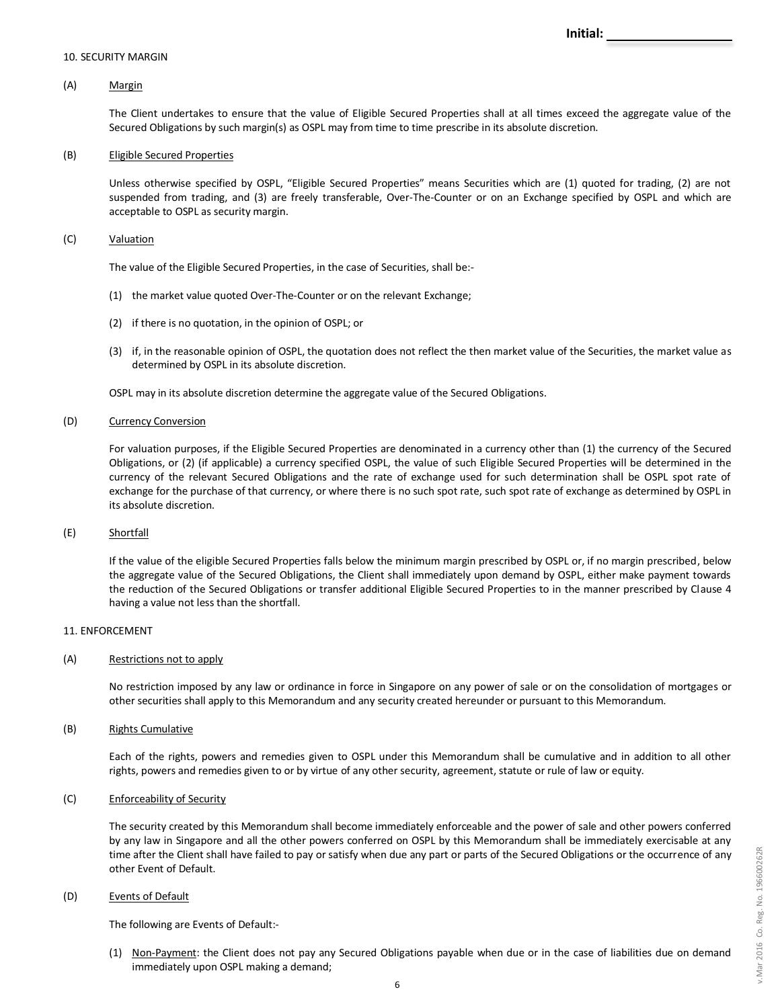### 10. SECURITY MARGIN

## (A) Margin

The Client undertakes to ensure that the value of Eligible Secured Properties shall at all times exceed the aggregate value of the Secured Obligations by such margin(s) as OSPL may from time to time prescribe in its absolute discretion.

### (B) Eligible Secured Properties

Unless otherwise specified by OSPL, "Eligible Secured Properties" means Securities which are (1) quoted for trading, (2) are not suspended from trading, and (3) are freely transferable, Over-The-Counter or on an Exchange specified by OSPL and which are acceptable to OSPL as security margin.

## (C) Valuation

The value of the Eligible Secured Properties, in the case of Securities, shall be:-

- (1) the market value quoted Over-The-Counter or on the relevant Exchange;
- (2) if there is no quotation, in the opinion of OSPL; or
- (3) if, in the reasonable opinion of OSPL, the quotation does not reflect the then market value of the Securities, the market value as determined by OSPL in its absolute discretion.

OSPL may in its absolute discretion determine the aggregate value of the Secured Obligations.

## (D) Currency Conversion

For valuation purposes, if the Eligible Secured Properties are denominated in a currency other than (1) the currency of the Secured Obligations, or (2) (if applicable) a currency specified OSPL, the value of such Eligible Secured Properties will be determined in the currency of the relevant Secured Obligations and the rate of exchange used for such determination shall be OSPL spot rate of exchange for the purchase of that currency, or where there is no such spot rate, such spot rate of exchange as determined by OSPL in its absolute discretion.

## (E) Shortfall

If the value of the eligible Secured Properties falls below the minimum margin prescribed by OSPL or, if no margin prescribed, below the aggregate value of the Secured Obligations, the Client shall immediately upon demand by OSPL, either make payment towards the reduction of the Secured Obligations or transfer additional Eligible Secured Properties to in the manner prescribed by Clause 4 having a value not less than the shortfall.

#### 11. ENFORCEMENT

### (A) Restrictions not to apply

No restriction imposed by any law or ordinance in force in Singapore on any power of sale or on the consolidation of mortgages or other securities shall apply to this Memorandum and any security created hereunder or pursuant to this Memorandum.

#### (B) Rights Cumulative

Each of the rights, powers and remedies given to OSPL under this Memorandum shall be cumulative and in addition to all other rights, powers and remedies given to or by virtue of any other security, agreement, statute or rule of law or equity.

#### (C) Enforceability of Security

The security created by this Memorandum shall become immediately enforceable and the power of sale and other powers conferred by any law in Singapore and all the other powers conferred on OSPL by this Memorandum shall be immediately exercisable at any time after the Client shall have failed to pay or satisfy when due any part or parts of the Secured Obligations or the occurrence of any other Event of Default.

### (D) Events of Default

The following are Events of Default:-

(1) Non-Payment: the Client does not pay any Secured Obligations payable when due or in the case of liabilities due on demand immediately upon OSPL making a demand;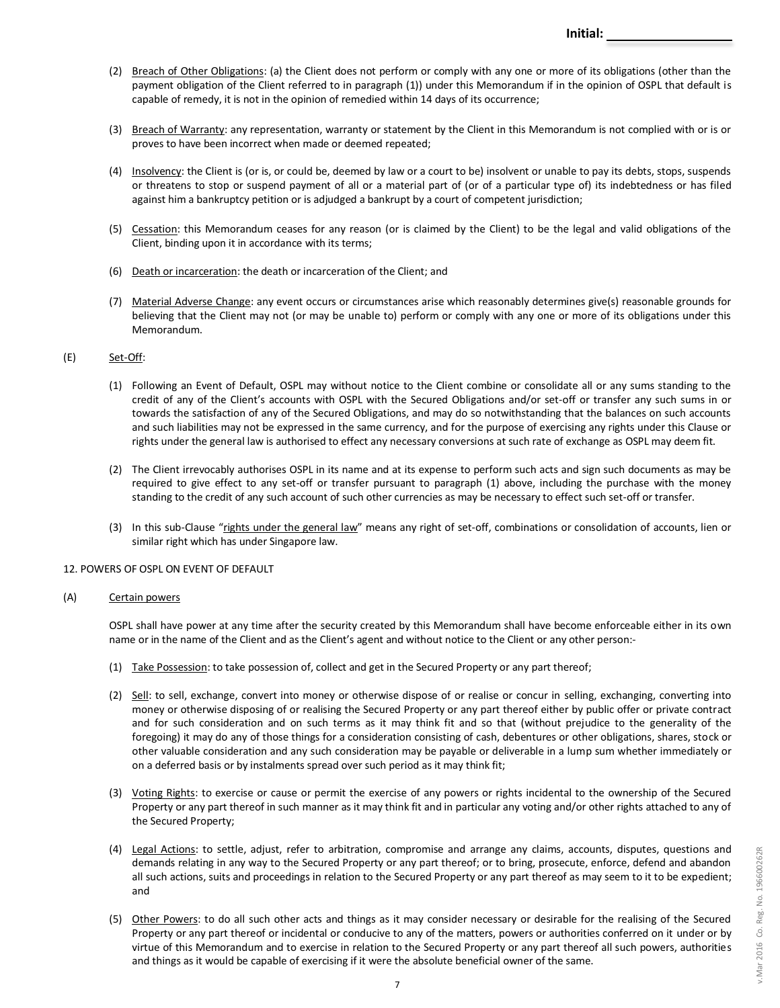- (2) Breach of Other Obligations: (a) the Client does not perform or comply with any one or more of its obligations (other than the payment obligation of the Client referred to in paragraph (1)) under this Memorandum if in the opinion of OSPL that default is capable of remedy, it is not in the opinion of remedied within 14 days of its occurrence;
- (3) Breach of Warranty: any representation, warranty or statement by the Client in this Memorandum is not complied with or is or proves to have been incorrect when made or deemed repeated;
- (4) Insolvency: the Client is (or is, or could be, deemed by law or a court to be) insolvent or unable to pay its debts, stops, suspends or threatens to stop or suspend payment of all or a material part of (or of a particular type of) its indebtedness or has filed against him a bankruptcy petition or is adjudged a bankrupt by a court of competent jurisdiction;
- (5) Cessation: this Memorandum ceases for any reason (or is claimed by the Client) to be the legal and valid obligations of the Client, binding upon it in accordance with its terms;
- (6) Death or incarceration: the death or incarceration of the Client; and
- (7) Material Adverse Change: any event occurs or circumstances arise which reasonably determines give(s) reasonable grounds for believing that the Client may not (or may be unable to) perform or comply with any one or more of its obligations under this Memorandum.

## $SEE$ ) Set-Off:

- (1) Following an Event of Default, OSPL may without notice to the Client combine or consolidate all or any sums standing to the credit of any of the Client's accounts with OSPL with the Secured Obligations and/or set-off or transfer any such sums in or towards the satisfaction of any of the Secured Obligations, and may do so notwithstanding that the balances on such accounts and such liabilities may not be expressed in the same currency, and for the purpose of exercising any rights under this Clause or rights under the general law is authorised to effect any necessary conversions at such rate of exchange as OSPL may deem fit.
- (2) The Client irrevocably authorises OSPL in its name and at its expense to perform such acts and sign such documents as may be required to give effect to any set-off or transfer pursuant to paragraph (1) above, including the purchase with the money standing to the credit of any such account of such other currencies as may be necessary to effect such set-off or transfer.
- (3) In this sub-Clause "rights under the general law" means any right of set-off, combinations or consolidation of accounts, lien or similar right which has under Singapore law.

## 12. POWERS OF OSPL ON EVENT OF DEFAULT

### (A) Certain powers

OSPL shall have power at any time after the security created by this Memorandum shall have become enforceable either in its own name or in the name of the Client and as the Client's agent and without notice to the Client or any other person:-

- (1) Take Possession: to take possession of, collect and get in the Secured Property or any part thereof;
- (2) Sell: to sell, exchange, convert into money or otherwise dispose of or realise or concur in selling, exchanging, converting into money or otherwise disposing of or realising the Secured Property or any part thereof either by public offer or private contract and for such consideration and on such terms as it may think fit and so that (without prejudice to the generality of the foregoing) it may do any of those things for a consideration consisting of cash, debentures or other obligations, shares, stock or other valuable consideration and any such consideration may be payable or deliverable in a lump sum whether immediately or on a deferred basis or by instalments spread over such period as it may think fit;
- (3) Voting Rights: to exercise or cause or permit the exercise of any powers or rights incidental to the ownership of the Secured Property or any part thereof in such manner as it may think fit and in particular any voting and/or other rights attached to any of the Secured Property;
- (4) Legal Actions: to settle, adjust, refer to arbitration, compromise and arrange any claims, accounts, disputes, questions and demands relating in any way to the Secured Property or any part thereof; or to bring, prosecute, enforce, defend and abandon all such actions, suits and proceedings in relation to the Secured Property or any part thereof as may seem to it to be expedient; and
- (5) Other Powers: to do all such other acts and things as it may consider necessary or desirable for the realising of the Secured Property or any part thereof or incidental or conducive to any of the matters, powers or authorities conferred on it under or by virtue of this Memorandum and to exercise in relation to the Secured Property or any part thereof all such powers, authorities and things as it would be capable of exercising if it were the absolute beneficial owner of the same.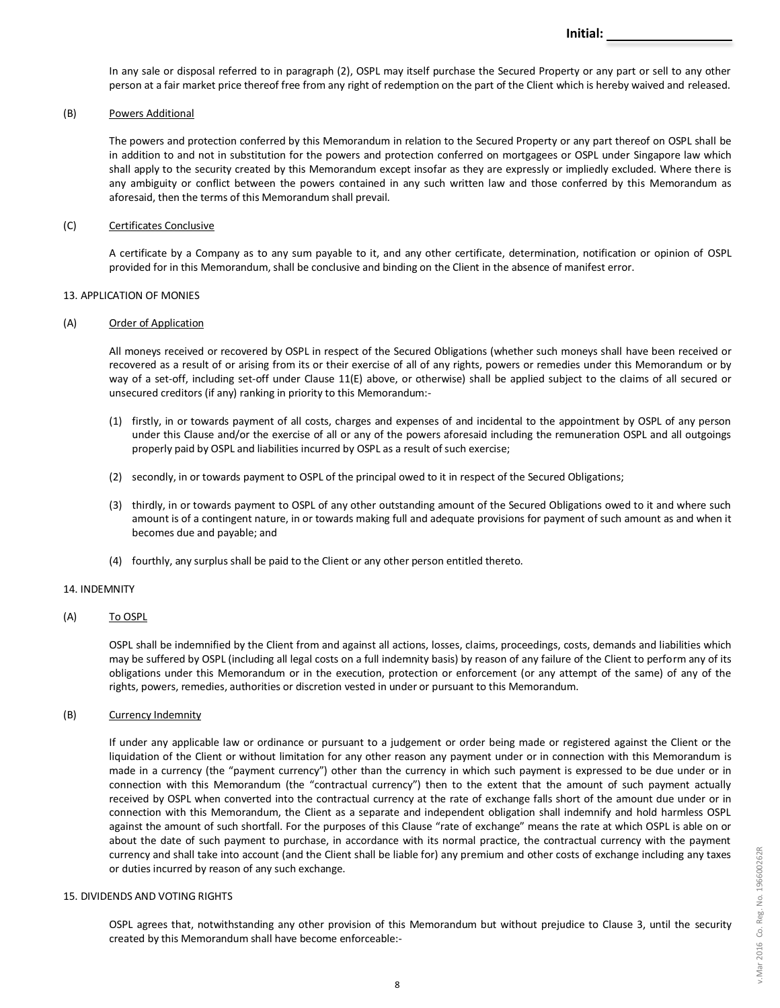In any sale or disposal referred to in paragraph (2), OSPL may itself purchase the Secured Property or any part or sell to any other person at a fair market price thereof free from any right of redemption on the part of the Client which is hereby waived and released.

### (B) Powers Additional

The powers and protection conferred by this Memorandum in relation to the Secured Property or any part thereof on OSPL shall be in addition to and not in substitution for the powers and protection conferred on mortgagees or OSPL under Singapore law which shall apply to the security created by this Memorandum except insofar as they are expressly or impliedly excluded. Where there is any ambiguity or conflict between the powers contained in any such written law and those conferred by this Memorandum as aforesaid, then the terms of this Memorandum shall prevail.

### (C) Certificates Conclusive

A certificate by a Company as to any sum payable to it, and any other certificate, determination, notification or opinion of OSPL provided for in this Memorandum, shall be conclusive and binding on the Client in the absence of manifest error.

### 13. APPLICATION OF MONIES

### (A) Order of Application

All moneys received or recovered by OSPL in respect of the Secured Obligations (whether such moneys shall have been received or recovered as a result of or arising from its or their exercise of all of any rights, powers or remedies under this Memorandum or by way of a set-off, including set-off under Clause 11(E) above, or otherwise) shall be applied subject to the claims of all secured or unsecured creditors (if any) ranking in priority to this Memorandum:-

- (1) firstly, in or towards payment of all costs, charges and expenses of and incidental to the appointment by OSPL of any person under this Clause and/or the exercise of all or any of the powers aforesaid including the remuneration OSPL and all outgoings properly paid by OSPL and liabilities incurred by OSPL as a result of such exercise;
- (2) secondly, in or towards payment to OSPL of the principal owed to it in respect of the Secured Obligations;
- (3) thirdly, in or towards payment to OSPL of any other outstanding amount of the Secured Obligations owed to it and where such amount is of a contingent nature, in or towards making full and adequate provisions for payment of such amount as and when it becomes due and payable; and
- (4) fourthly, any surplus shall be paid to the Client or any other person entitled thereto.

### 14. INDEMNITY

### (A) To OSPL

OSPL shall be indemnified by the Client from and against all actions, losses, claims, proceedings, costs, demands and liabilities which may be suffered by OSPL (including all legal costs on a full indemnity basis) by reason of any failure of the Client to perform any of its obligations under this Memorandum or in the execution, protection or enforcement (or any attempt of the same) of any of the rights, powers, remedies, authorities or discretion vested in under or pursuant to this Memorandum.

### (B) Currency Indemnity

If under any applicable law or ordinance or pursuant to a judgement or order being made or registered against the Client or the liquidation of the Client or without limitation for any other reason any payment under or in connection with this Memorandum is made in a currency (the "payment currency") other than the currency in which such payment is expressed to be due under or in connection with this Memorandum (the "contractual currency") then to the extent that the amount of such payment actually received by OSPL when converted into the contractual currency at the rate of exchange falls short of the amount due under or in connection with this Memorandum, the Client as a separate and independent obligation shall indemnify and hold harmless OSPL against the amount of such shortfall. For the purposes of this Clause "rate of exchange" means the rate at which OSPL is able on or about the date of such payment to purchase, in accordance with its normal practice, the contractual currency with the payment currency and shall take into account (and the Client shall be liable for) any premium and other costs of exchange including any taxes or duties incurred by reason of any such exchange.

### 15. DIVIDENDS AND VOTING RIGHTS

OSPL agrees that, notwithstanding any other provision of this Memorandum but without prejudice to Clause 3, until the security created by this Memorandum shall have become enforceable:-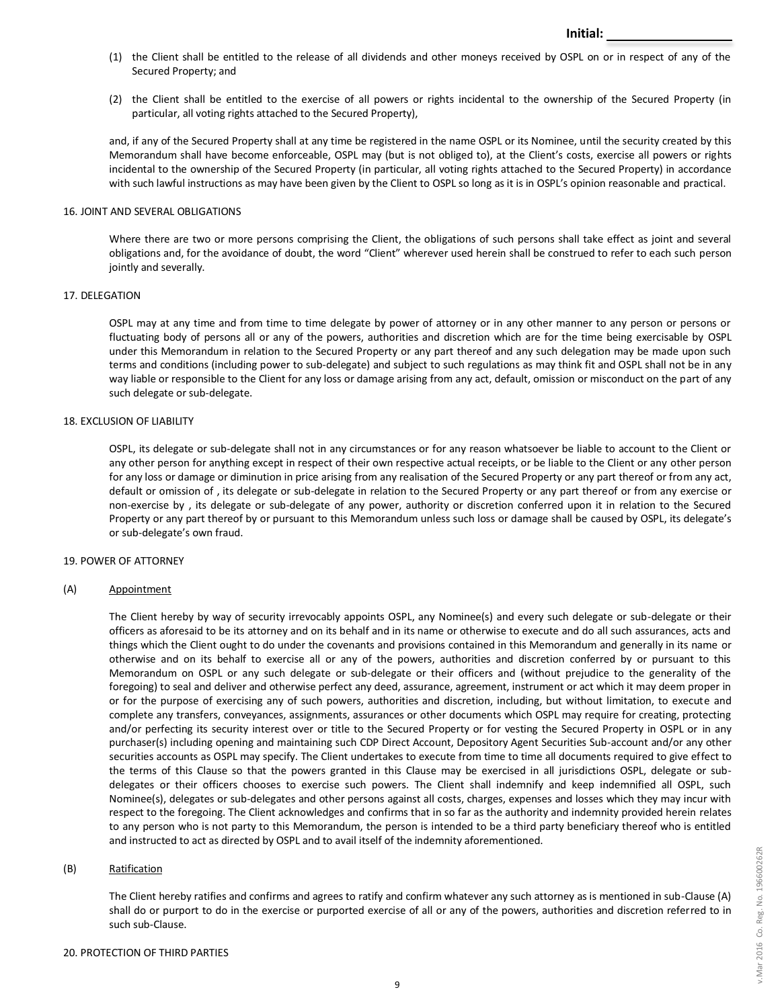- (1) the Client shall be entitled to the release of all dividends and other moneys received by OSPL on or in respect of any of the Secured Property; and
- (2) the Client shall be entitled to the exercise of all powers or rights incidental to the ownership of the Secured Property (in particular, all voting rights attached to the Secured Property),

and, if any of the Secured Property shall at any time be registered in the name OSPL or its Nominee, until the security created by this Memorandum shall have become enforceable, OSPL may (but is not obliged to), at the Client's costs, exercise all powers or rights incidental to the ownership of the Secured Property (in particular, all voting rights attached to the Secured Property) in accordance with such lawful instructions as may have been given by the Client to OSPL so long as it is in OSPL's opinion reasonable and practical.

### 16. JOINT AND SEVERAL OBLIGATIONS

Where there are two or more persons comprising the Client, the obligations of such persons shall take effect as joint and several obligations and, for the avoidance of doubt, the word "Client" wherever used herein shall be construed to refer to each such person jointly and severally.

### 17. DELEGATION

OSPL may at any time and from time to time delegate by power of attorney or in any other manner to any person or persons or fluctuating body of persons all or any of the powers, authorities and discretion which are for the time being exercisable by OSPL under this Memorandum in relation to the Secured Property or any part thereof and any such delegation may be made upon such terms and conditions (including power to sub-delegate) and subject to such regulations as may think fit and OSPL shall not be in any way liable or responsible to the Client for any loss or damage arising from any act, default, omission or misconduct on the part of any such delegate or sub-delegate.

## 18. EXCLUSION OF LIABILITY

OSPL, its delegate or sub-delegate shall not in any circumstances or for any reason whatsoever be liable to account to the Client or any other person for anything except in respect of their own respective actual receipts, or be liable to the Client or any other person for any loss or damage or diminution in price arising from any realisation of the Secured Property or any part thereof or from any act, default or omission of , its delegate or sub-delegate in relation to the Secured Property or any part thereof or from any exercise or non-exercise by , its delegate or sub-delegate of any power, authority or discretion conferred upon it in relation to the Secured Property or any part thereof by or pursuant to this Memorandum unless such loss or damage shall be caused by OSPL, its delegate's or sub-delegate's own fraud.

### 19. POWER OF ATTORNEY

## (A) Appointment

The Client hereby by way of security irrevocably appoints OSPL, any Nominee(s) and every such delegate or sub-delegate or their officers as aforesaid to be its attorney and on its behalf and in its name or otherwise to execute and do all such assurances, acts and things which the Client ought to do under the covenants and provisions contained in this Memorandum and generally in its name or otherwise and on its behalf to exercise all or any of the powers, authorities and discretion conferred by or pursuant to this Memorandum on OSPL or any such delegate or sub-delegate or their officers and (without prejudice to the generality of the foregoing) to seal and deliver and otherwise perfect any deed, assurance, agreement, instrument or act which it may deem proper in or for the purpose of exercising any of such powers, authorities and discretion, including, but without limitation, to execute and complete any transfers, conveyances, assignments, assurances or other documents which OSPL may require for creating, protecting and/or perfecting its security interest over or title to the Secured Property or for vesting the Secured Property in OSPL or in any purchaser(s) including opening and maintaining such CDP Direct Account, Depository Agent Securities Sub-account and/or any other securities accounts as OSPL may specify. The Client undertakes to execute from time to time all documents required to give effect to the terms of this Clause so that the powers granted in this Clause may be exercised in all jurisdictions OSPL, delegate or subdelegates or their officers chooses to exercise such powers. The Client shall indemnify and keep indemnified all OSPL, such Nominee(s), delegates or sub-delegates and other persons against all costs, charges, expenses and losses which they may incur with respect to the foregoing. The Client acknowledges and confirms that in so far as the authority and indemnity provided herein relates to any person who is not party to this Memorandum, the person is intended to be a third party beneficiary thereof who is entitled and instructed to act as directed by OSPL and to avail itself of the indemnity aforementioned.

## (B) Ratification

The Client hereby ratifies and confirms and agrees to ratify and confirm whatever any such attorney as is mentioned in sub-Clause (A) shall do or purport to do in the exercise or purported exercise of all or any of the powers, authorities and discretion referred to in such sub-Clause.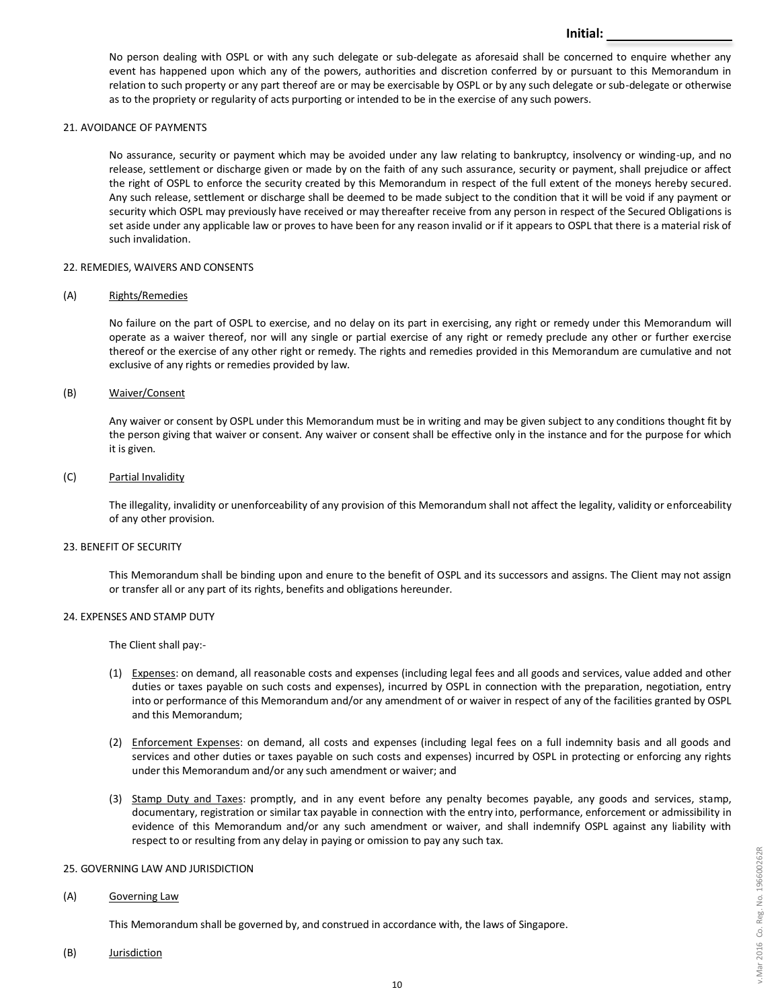No person dealing with OSPL or with any such delegate or sub-delegate as aforesaid shall be concerned to enquire whether any event has happened upon which any of the powers, authorities and discretion conferred by or pursuant to this Memorandum in relation to such property or any part thereof are or may be exercisable by OSPL or by any such delegate or sub-delegate or otherwise as to the propriety or regularity of acts purporting or intended to be in the exercise of any such powers.

**Initial:**

### 21. AVOIDANCE OF PAYMENTS

No assurance, security or payment which may be avoided under any law relating to bankruptcy, insolvency or winding-up, and no release, settlement or discharge given or made by on the faith of any such assurance, security or payment, shall prejudice or affect the right of OSPL to enforce the security created by this Memorandum in respect of the full extent of the moneys hereby secured. Any such release, settlement or discharge shall be deemed to be made subject to the condition that it will be void if any payment or security which OSPL may previously have received or may thereafter receive from any person in respect of the Secured Obligations is set aside under any applicable law or proves to have been for any reason invalid or if it appears to OSPL that there is a material risk of such invalidation.

### 22. REMEDIES, WAIVERS AND CONSENTS

### (A) Rights/Remedies

No failure on the part of OSPL to exercise, and no delay on its part in exercising, any right or remedy under this Memorandum will operate as a waiver thereof, nor will any single or partial exercise of any right or remedy preclude any other or further exercise thereof or the exercise of any other right or remedy. The rights and remedies provided in this Memorandum are cumulative and not exclusive of any rights or remedies provided by law.

### (B) Waiver/Consent

Any waiver or consent by OSPL under this Memorandum must be in writing and may be given subject to any conditions thought fit by the person giving that waiver or consent. Any waiver or consent shall be effective only in the instance and for the purpose for which it is given.

### (C) Partial Invalidity

The illegality, invalidity or unenforceability of any provision of this Memorandum shall not affect the legality, validity or enforceability of any other provision.

### 23. BENEFIT OF SECURITY

This Memorandum shall be binding upon and enure to the benefit of OSPL and its successors and assigns. The Client may not assign or transfer all or any part of its rights, benefits and obligations hereunder.

## 24. EXPENSES AND STAMP DUTY

The Client shall pay:-

- (1) Expenses: on demand, all reasonable costs and expenses (including legal fees and all goods and services, value added and other duties or taxes payable on such costs and expenses), incurred by OSPL in connection with the preparation, negotiation, entry into or performance of this Memorandum and/or any amendment of or waiver in respect of any of the facilities granted by OSPL and this Memorandum;
- (2) Enforcement Expenses: on demand, all costs and expenses (including legal fees on a full indemnity basis and all goods and services and other duties or taxes payable on such costs and expenses) incurred by OSPL in protecting or enforcing any rights under this Memorandum and/or any such amendment or waiver; and
- (3) Stamp Duty and Taxes: promptly, and in any event before any penalty becomes payable, any goods and services, stamp, documentary, registration or similar tax payable in connection with the entry into, performance, enforcement or admissibility in evidence of this Memorandum and/or any such amendment or waiver, and shall indemnify OSPL against any liability with respect to or resulting from any delay in paying or omission to pay any such tax.

## 25. GOVERNING LAW AND JURISDICTION

### (A) Governing Law

This Memorandum shall be governed by, and construed in accordance with, the laws of Singapore.

(B) Jurisdiction